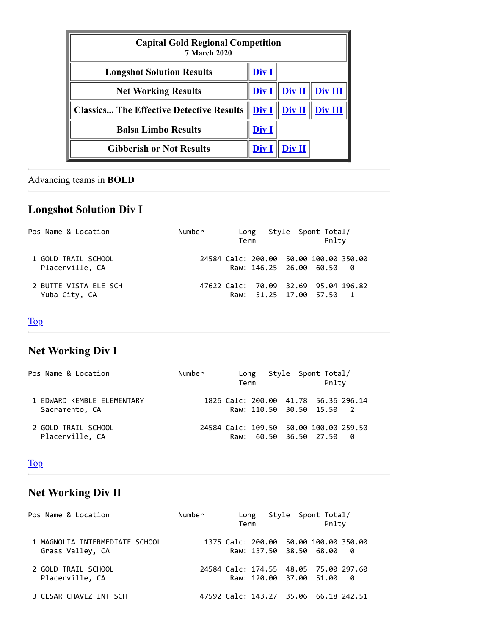<span id="page-0-3"></span>

| <b>Capital Gold Regional Competition</b><br><b>7 March 2020</b> |              |        |         |  |  |  |
|-----------------------------------------------------------------|--------------|--------|---------|--|--|--|
| <b>Longshot Solution Results</b>                                | Div I        |        |         |  |  |  |
| <b>Net Working Results</b>                                      | <u>Div I</u> | Div II | Div III |  |  |  |
| <b>Classics The Effective Detective Results</b>                 | Div I        | Div II | Div III |  |  |  |
| <b>Balsa Limbo Results</b>                                      | Div I        |        |         |  |  |  |
| <b>Gibberish or Not Results</b>                                 | Div l        | )iv II |         |  |  |  |

## <span id="page-0-0"></span>Advancing teams in **BOLD**

# **Longshot Solution Div I**

| Pos Name & Location                    | Number | Long<br>Term |                                                                     | Style Spont Total/<br>Pnlty |  |
|----------------------------------------|--------|--------------|---------------------------------------------------------------------|-----------------------------|--|
| 1 GOLD TRAIL SCHOOL<br>Placerville, CA |        |              | 24584 Calc: 200.00 50.00 100.00 350.00<br>Raw: 146.25 26.00 60.50 0 |                             |  |
| 2 BUTTE VISTA ELE SCH<br>Yuba City, CA |        |              | 47622 Calc: 70.09 32.69 95.04 196.82<br>Raw: 51.25 17.00 57.50 1    |                             |  |

## <span id="page-0-1"></span>[Top](#page-0-3)

# **Net Working Div I**

| Pos Name & Location                          | Number | Long<br>Term                                                       | Style Spont Total/ | Pnltv |  |
|----------------------------------------------|--------|--------------------------------------------------------------------|--------------------|-------|--|
| 1 FDWARD KFMBLF FLFMFNTARY<br>Sacramento, CA |        | 1826 Calc: 200.00 41.78 56.36 296.14<br>Raw: 110.50 30.50 15.50 2  |                    |       |  |
| 2 GOLD TRATI SCHOOL<br>Placerville, CA       |        | 24584 Calc: 109.50 50.00 100.00 259.50<br>Raw: 60.50 36.50 27.50 0 |                    |       |  |

#### <span id="page-0-2"></span>[Top](#page-0-3)

# **Net Working Div II**

| Pos Name & Location                                | Number | Long<br>Term |  | Style Spont Total/<br>Pnlty                                      |     |
|----------------------------------------------------|--------|--------------|--|------------------------------------------------------------------|-----|
| 1 MAGNOLIA INTERMEDIATE SCHOOL<br>Grass Valley, CA |        |              |  | 1375 Calc: 200.00 50.00 100.00 350.00<br>Raw: 137.50 38.50 68.00 | - 0 |
| 2 GOLD TRAIL SCHOOL<br>Placerville, CA             |        |              |  | 24584 Calc: 174.55 48.05 75.00 297.60<br>Raw: 120.00 37.00 51.00 | - 0 |
| 3 CESAR CHAVEZ INT SCH                             |        |              |  | 47592 Calc: 143.27 35.06 66.18 242.51                            |     |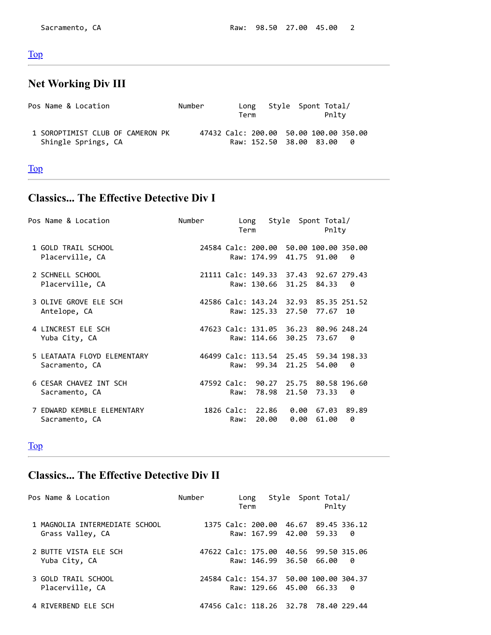#### <span id="page-1-0"></span>[Top](#page-0-3)

#### **Net Working Div III**

| Pos Name & Location                                     | Number                                 | Long<br>Term            | Style Spont Total/<br>Pnltv |  |
|---------------------------------------------------------|----------------------------------------|-------------------------|-----------------------------|--|
| 1 SOROPTIMIST CLUB OF CAMERON PK<br>Shingle Springs, CA | 47432 Calc: 200.00 50.00 100.00 350.00 | Raw: 152.50 38.00 83.00 |                             |  |

#### <span id="page-1-1"></span>[Top](#page-0-3)

### **Classics... The Effective Detective Div I**

| Pos Name & Location                           | Number      | Long<br>Term                              |                    | Style Spont Total/<br>Pnlty                          |
|-----------------------------------------------|-------------|-------------------------------------------|--------------------|------------------------------------------------------|
| 1 GOLD TRAIL SCHOOL<br>Placerville, CA        |             | Raw: 174.99                               | 41.75              | 24584 Calc: 200.00 50.00 100.00 350.00<br>91.00<br>ø |
| 2 SCHNELL SCHOOL<br>Placerville, CA           |             | Raw: 130.66                               | 31.25 84.33        | 21111 Calc: 149.33 37.43 92.67 279.43<br>0           |
| 3 OLIVE GROVE ELE SCH<br>Antelope, CA         |             | Raw: 125.33                               | 27.50              | 42586 Calc: 143.24 32.93 85.35 251.52<br>77.67<br>10 |
| 4 LINCREST ELE SCH<br>Yuba City, CA           |             | Raw: 114.66                               | 30.25              | 47623 Calc: 131.05 36.23 80.96 248.24<br>73.67<br>0  |
| 5 LEATAATA FLOYD ELEMENTARY<br>Sacramento, CA |             | 46499 Calc: 113.54 25.45<br>99.34<br>Raw: | 21.25              | 59.34 198.33<br>54.00<br>ø                           |
| 6 CESAR CHAVEZ INT SCH<br>Sacramento, CA      | 47592 Calc: | 90.27<br>78.98<br>Raw:                    | 21.50              | 25.75 80.58 196.60<br>73.33<br>ø                     |
| 7 EDWARD KEMBLE ELEMENTARY<br>Sacramento, CA  | 1826 Calc:  | 20.00<br>Raw:                             | 22.86 0.00<br>0.00 | 67.03<br>89.89<br>0<br>61.00                         |

#### <span id="page-1-2"></span>[Top](#page-0-3)

# **Classics... The Effective Detective Div II**

| Pos Name & Location                                | Number | Long<br>Term |  | Style Spont Total/<br>Pnlty                                       |     |
|----------------------------------------------------|--------|--------------|--|-------------------------------------------------------------------|-----|
| 1 MAGNOLIA INTERMEDIATE SCHOOL<br>Grass Valley, CA |        |              |  | 1375 Calc: 200.00 46.67 89.45 336.12<br>Raw: 167.99 42.00 59.33   | - 0 |
| 2 BUTTE VISTA ELE SCH<br>Yuba City, CA             |        |              |  | 47622 Calc: 175.00 40.56 99.50 315.06<br>Raw: 146.99 36.50 66.00  | 0   |
| 3 GOLD TRAIL SCHOOL<br>Placerville, CA             |        |              |  | 24584 Calc: 154.37 50.00 100.00 304.37<br>Raw: 129.66 45.00 66.33 | - 0 |
| 4 RIVERBEND ELE SCH                                |        |              |  | 47456 Calc: 118.26 32.78 78.40 229.44                             |     |